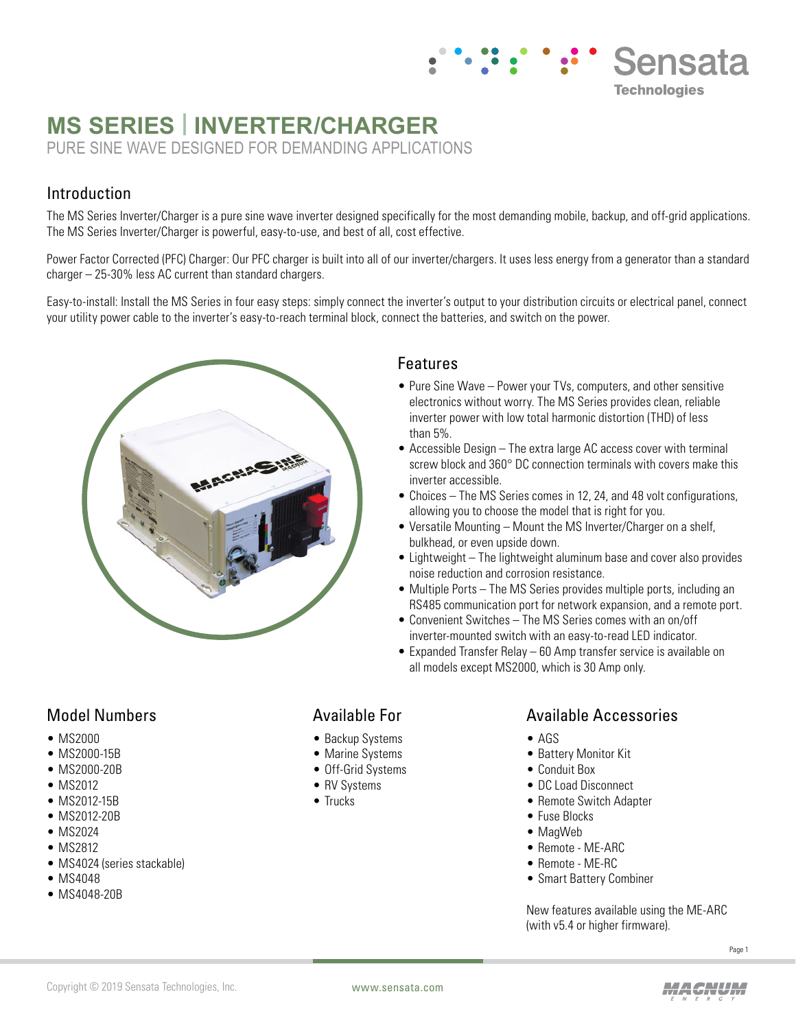## **Sensata Technologies**

# **MS SERIES | INVERTER/CHARGER**

PURE SINE WAVE DESIGNED FOR DEMANDING APPLICATIONS

#### Introduction

The MS Series Inverter/Charger is a pure sine wave inverter designed specifically for the most demanding mobile, backup, and off-grid applications. The MS Series Inverter/Charger is powerful, easy-to-use, and best of all, cost effective.

Power Factor Corrected (PFC) Charger: Our PFC charger is built into all of our inverter/chargers. It uses less energy from a generator than a standard charger – 25-30% less AC current than standard chargers.

Easy-to-install: Install the MS Series in four easy steps: simply connect the inverter's output to your distribution circuits or electrical panel, connect your utility power cable to the inverter's easy-to-reach terminal block, connect the batteries, and switch on the power.



#### Features

- Pure Sine Wave Power your TVs, computers, and other sensitive electronics without worry. The MS Series provides clean, reliable inverter power with low total harmonic distortion (THD) of less than 5%.
- Accessible Design The extra large AC access cover with terminal screw block and 360° DC connection terminals with covers make this inverter accessible.
- Choices The MS Series comes in 12, 24, and 48 volt configurations, allowing you to choose the model that is right for you.
- Versatile Mounting Mount the MS Inverter/Charger on a shelf, bulkhead, or even upside down.
- Lightweight The lightweight aluminum base and cover also provides noise reduction and corrosion resistance.
- Multiple Ports The MS Series provides multiple ports, including an RS485 communication port for network expansion, and a remote port.
- Convenient Switches The MS Series comes with an on/off inverter-mounted switch with an easy-to-read LED indicator.
- Expanded Transfer Relay 60 Amp transfer service is available on all models except MS2000, which is 30 Amp only.

### Model Numbers

- MS2000
- MS2000-15B
- MS2000-20B
- MS2012
- MS2012-15B
- MS2012-20B
- MS2024 • MS2812
- 
- MS4024 (series stackable)
- MS4048
- MS4048-20B

#### Available For

- Backup Systems
- Marine Systems
- Off-Grid Systems
- RV Systems
- Trucks

#### Available Accessories

- AGS
- Battery Monitor Kit
- Conduit Box
- DC Load Disconnect
- Remote Switch Adapter
- Fuse Blocks
- MagWeb
- Remote ME-ARC
- Remote ME-RC
- Smart Battery Combiner

New features available using the ME-ARC (with v5.4 or higher firmware).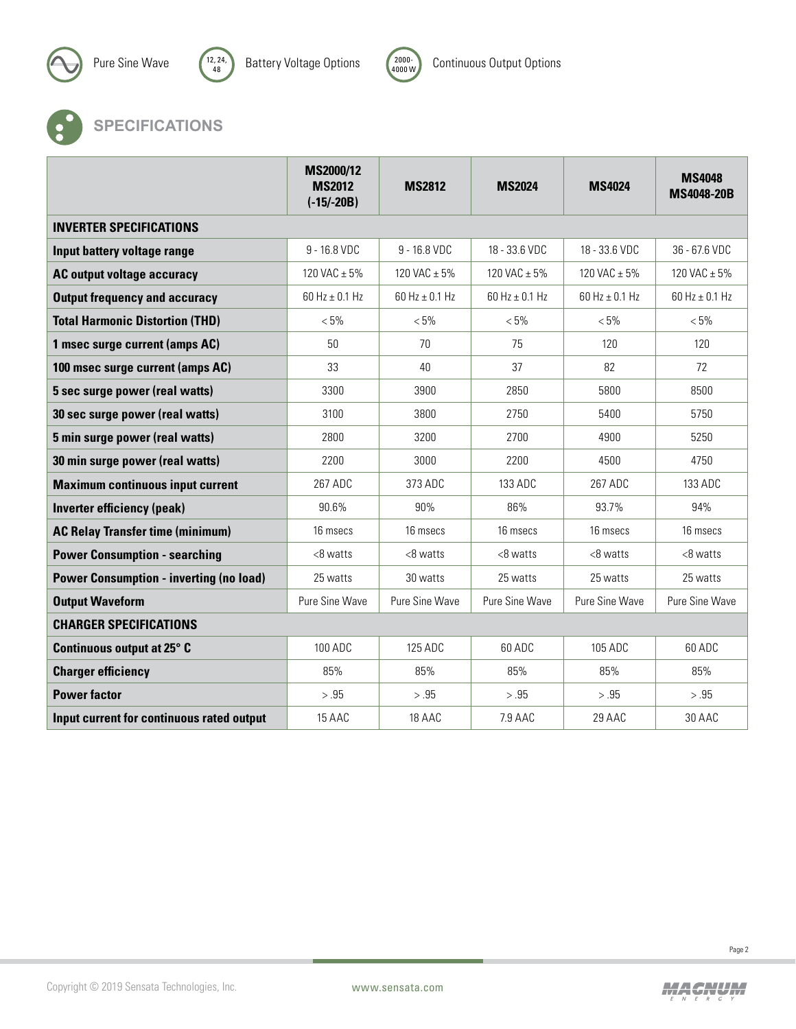





## **SPECIFICATIONS**

|                                                | MS2000/12<br><b>MS2012</b><br>$(-15/-20B)$ | <b>MS2812</b>        | <b>MS2024</b>      | <b>MS4024</b>        | <b>MS4048</b><br><b>MS4048-20B</b> |  |  |  |  |
|------------------------------------------------|--------------------------------------------|----------------------|--------------------|----------------------|------------------------------------|--|--|--|--|
| <b>INVERTER SPECIFICATIONS</b>                 |                                            |                      |                    |                      |                                    |  |  |  |  |
| Input battery voltage range                    | 9 - 16.8 VDC                               | 9 - 16.8 VDC         | 18 - 33.6 VDC      | 18 - 33.6 VDC        | 36 - 67.6 VDC                      |  |  |  |  |
| AC output voltage accuracy                     | 120 VAC $\pm$ 5%                           | 120 VAC $\pm$ 5%     | 120 VAC $\pm$ 5%   | 120 VAC $\pm$ 5%     | 120 VAC $\pm$ 5%                   |  |  |  |  |
| <b>Output frequency and accuracy</b>           | $60$ Hz $\pm$ 0.1 Hz                       | $60$ Hz $\pm$ 0.1 Hz | 60 Hz $\pm$ 0.1 Hz | $60$ Hz $\pm$ 0.1 Hz | 60 Hz $\pm$ 0.1 Hz                 |  |  |  |  |
| <b>Total Harmonic Distortion (THD)</b>         | $< 5\%$                                    | $< 5\%$              | $< 5\%$            | $< 5\%$              | $< 5\%$                            |  |  |  |  |
| 1 msec surge current (amps AC)                 | 50                                         | 70                   | 75                 | 120                  | 120                                |  |  |  |  |
| 100 msec surge current (amps AC)               | 33                                         | 40                   | 37                 | 82                   | 72                                 |  |  |  |  |
| 5 sec surge power (real watts)                 | 3300                                       | 3900                 | 2850               | 5800                 | 8500                               |  |  |  |  |
| 30 sec surge power (real watts)                | 3100                                       | 3800                 | 2750               | 5400                 | 5750                               |  |  |  |  |
| 5 min surge power (real watts)                 | 2800                                       | 3200                 | 2700               | 4900                 | 5250                               |  |  |  |  |
| 30 min surge power (real watts)                | 2200                                       | 3000                 | 2200               | 4500                 | 4750                               |  |  |  |  |
| <b>Maximum continuous input current</b>        | 267 ADC                                    | 373 ADC              | 133 ADC            | 267 ADC              | 133 ADC                            |  |  |  |  |
| Inverter efficiency (peak)                     | 90.6%                                      | 90%                  | 86%                | 93.7%                | 94%                                |  |  |  |  |
| <b>AC Relay Transfer time (minimum)</b>        | 16 msecs                                   | 16 msecs             | 16 msecs           | 16 msecs             | 16 msecs                           |  |  |  |  |
| <b>Power Consumption - searching</b>           | $<8$ watts                                 | $<8$ watts           | <8 watts           | $<8$ watts           | $<8$ watts                         |  |  |  |  |
| <b>Power Consumption - inverting (no load)</b> | 25 watts                                   | 30 watts             | 25 watts           | 25 watts             | 25 watts                           |  |  |  |  |
| <b>Output Waveform</b>                         | Pure Sine Wave                             | Pure Sine Wave       | Pure Sine Wave     | Pure Sine Wave       | Pure Sine Wave                     |  |  |  |  |
| <b>CHARGER SPECIFICATIONS</b>                  |                                            |                      |                    |                      |                                    |  |  |  |  |
| Continuous output at 25° C                     | 100 ADC                                    | 125 ADC              | 60 ADC             | 105 ADC              | 60 ADC                             |  |  |  |  |
| <b>Charger efficiency</b>                      | 85%                                        | 85%                  | 85%                | 85%                  | 85%                                |  |  |  |  |
| <b>Power factor</b>                            | > .95                                      | > .95                | > .95              | > .95                | > .95                              |  |  |  |  |
| Input current for continuous rated output      | 15 AAC                                     | 18 AAC               | 7.9 AAC            | 29 AAC               | 30 AAC                             |  |  |  |  |